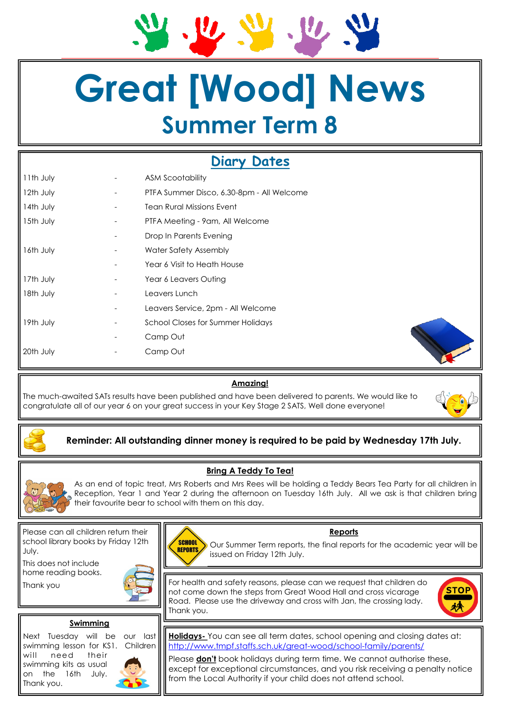# **Great [Wood] News Summer Term 8**

# **Diary Dates**

| 11th July | ASM Scootability                          |
|-----------|-------------------------------------------|
| 12th July | PTFA Summer Disco, 6.30-8pm - All Welcome |
| 14th July | <b>Tean Rural Missions Event</b>          |
| 15th July | PTFA Meeting - 9am, All Welcome           |
|           | Drop In Parents Evening                   |
| 16th July | Water Safety Assembly                     |
|           | Year 6 Visit to Heath House               |
| 17th July | Year 6 Leavers Outing                     |
| 18th July | Leavers Lunch                             |
|           | Leavers Service, 2pm - All Welcome        |
| 19th July | <b>School Closes for Summer Holidays</b>  |
|           | Camp Out                                  |
| 20th July | Camp Out                                  |
|           |                                           |

## **Amazing!**

The much-awaited SATs results have been published and have been delivered to parents. We would like to congratulate all of our year 6 on your great success in your Key Stage 2 SATS, Well done everyone!



# **Reminder: All outstanding dinner money is required to be paid by Wednesday 17th July.**

## **Bring A Teddy To Tea!**

As an end of topic treat, Mrs Roberts and Mrs Rees will be holding a Teddy Bears Tea Party for all children in Reception, Year 1 and Year 2 during the afternoon on Tuesday 16th July. All we ask is that children bring their favourite bear to school with them on this day.

Please can all children return their school library books by Friday 12th July.

This does not include home reading books.

Thank you



#### **Swimming**

Next Tuesday will be our last swimming lesson for KS1. Children will need their swimming kits as usual on the 16th July. Thank you.





# **Reports**

Our Summer Term reports, the final reports for the academic year will be issued on Friday 12th July.

For health and safety reasons, please can we request that children do not come down the steps from Great Wood Hall and cross vicarage Road. Please use the driveway and cross with Jan, the crossing lady. Thank you.



**Holidays-** You can see all term dates, school opening and closing dates at: [http://www.tmpf.staffs.sch.uk/great-wood/school-family/parents/](http://www.tmpf.staffs.sch.uk/bishop-rawle/school-family/parents/)

Please **don't** book holidays during term time. We cannot authorise these, except for exceptional circumstances, and you risk receiving a penalty notice from the Local Authority if your child does not attend school.